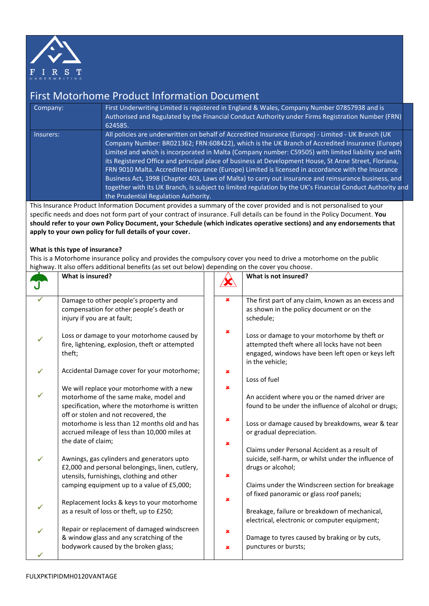

## First Motorhome Product Information Document

| Company:  | First Underwriting Limited is registered in England & Wales, Company Number 07857938 and is<br>Authorised and Regulated by the Financial Conduct Authority under Firms Registration Number (FRN)<br>624585.                                                                                                                                                                                                                                                                                                                                                                                                                                                                                                                                                                             |  |
|-----------|-----------------------------------------------------------------------------------------------------------------------------------------------------------------------------------------------------------------------------------------------------------------------------------------------------------------------------------------------------------------------------------------------------------------------------------------------------------------------------------------------------------------------------------------------------------------------------------------------------------------------------------------------------------------------------------------------------------------------------------------------------------------------------------------|--|
| Insurers: | All policies are underwritten on behalf of Accredited Insurance (Europe) - Limited - UK Branch (UK<br>Company Number: BR021362; FRN:608422), which is the UK Branch of Accredited Insurance (Europe)<br>Limited and which is incorporated in Malta (Company number: C59505) with limited liability and with<br>its Registered Office and principal place of business at Development House, St Anne Street, Floriana,<br>FRN 9010 Malta. Accredited Insurance (Europe) Limited is licensed in accordance with the Insurance<br>Business Act, 1998 (Chapter 403, Laws of Malta) to carry out insurance and reinsurance business, and<br>together with its UK Branch, is subject to limited regulation by the UK's Financial Conduct Authority and<br>the Prudential Regulation Authority. |  |

This Insurance Product Information Document provides a summary of the cover provided and is not personalised to your specific needs and does not form part of your contract of insurance. Full details can be found in the Policy Document. **You should refer to your own Policy Document, your Schedule (which indicates operative sections) and any endorsements that apply to your own policy for full details of your cover.**

## **What is this type of insurance?**

This is a Motorhome insurance policy and provides the compulsory cover you need to drive a motorhome on the public highway. It also offers additional benefits (as set out below) depending on the cover you choose.

|   | What is insured?                                |   | What is not insured?                                                 |
|---|-------------------------------------------------|---|----------------------------------------------------------------------|
|   | Damage to other people's property and           | × | The first part of any claim, known as an excess and                  |
|   | compensation for other people's death or        |   | as shown in the policy document or on the                            |
|   | injury if you are at fault;                     |   | schedule;                                                            |
| ✓ | Loss or damage to your motorhome caused by      | × | Loss or damage to your motorhome by theft or                         |
|   | fire, lightening, explosion, theft or attempted |   | attempted theft where all locks have not been                        |
|   | theft;                                          |   | engaged, windows have been left open or keys left<br>in the vehicle; |
| ✓ | Accidental Damage cover for your motorhome;     | × |                                                                      |
|   |                                                 |   | Loss of fuel                                                         |
|   | We will replace your motorhome with a new       | × |                                                                      |
|   | motorhome of the same make, model and           |   | An accident where you or the named driver are                        |
|   | specification, where the motorhome is written   |   | found to be under the influence of alcohol or drugs;                 |
|   | off or stolen and not recovered, the            | × |                                                                      |
|   | motorhome is less than 12 months old and has    |   | Loss or damage caused by breakdowns, wear & tear                     |
|   | accrued mileage of less than 10,000 miles at    |   | or gradual depreciation.                                             |
|   | the date of claim;                              | × | Claims under Personal Accident as a result of                        |
|   | Awnings, gas cylinders and generators upto      |   | suicide, self-harm, or whilst under the influence of                 |
| ✓ | £2,000 and personal belongings, linen, cutlery, |   | drugs or alcohol;                                                    |
|   | utensils, furnishings, clothing and other       | × |                                                                      |
|   | camping equipment up to a value of £5,000;      |   | Claims under the Windscreen section for breakage                     |
|   |                                                 |   | of fixed panoramic or glass roof panels;                             |
|   | Replacement locks & keys to your motorhome      | × |                                                                      |
|   | as a result of loss or theft, up to £250;       |   | Breakage, failure or breakdown of mechanical,                        |
|   |                                                 |   | electrical, electronic or computer equipment;                        |
| ✓ | Repair or replacement of damaged windscreen     | × |                                                                      |
|   | & window glass and any scratching of the        |   | Damage to tyres caused by braking or by cuts,                        |
|   | bodywork caused by the broken glass;            | × | punctures or bursts;                                                 |
|   |                                                 |   |                                                                      |